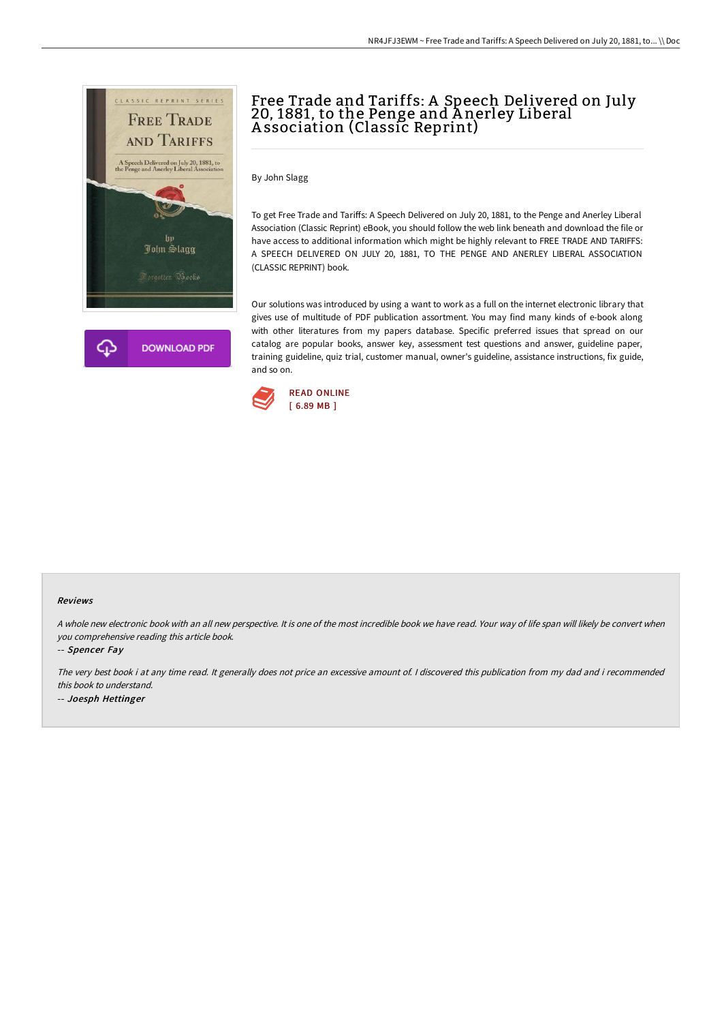

## Free Trade and Tariffs: A Speech Delivered on July 20, 1881, to the Penge and A nerley Liberal A ssociation (Classic Reprint)

By John Slagg

To get Free Trade and Tariffs: A Speech Delivered on July 20, 1881, to the Penge and Anerley Liberal Association (Classic Reprint) eBook, you should follow the web link beneath and download the file or have access to additional information which might be highly relevant to FREE TRADE AND TARIFFS: A SPEECH DELIVERED ON JULY 20, 1881, TO THE PENGE AND ANERLEY LIBERAL ASSOCIATION (CLASSIC REPRINT) book.

Our solutions was introduced by using a want to work as a full on the internet electronic library that gives use of multitude of PDF publication assortment. You may find many kinds of e-book along with other literatures from my papers database. Specific preferred issues that spread on our catalog are popular books, answer key, assessment test questions and answer, guideline paper, training guideline, quiz trial, customer manual, owner's guideline, assistance instructions, fix guide, and so on.



## Reviews

A whole new electronic book with an all new perspective. It is one of the most incredible book we have read. Your way of life span will likely be convert when you comprehensive reading this article book.

-- Spencer Fay

The very best book i at any time read. It generally does not price an excessive amount of. <sup>I</sup> discovered this publication from my dad and i recommended this book to understand. -- Joesph Hettinger